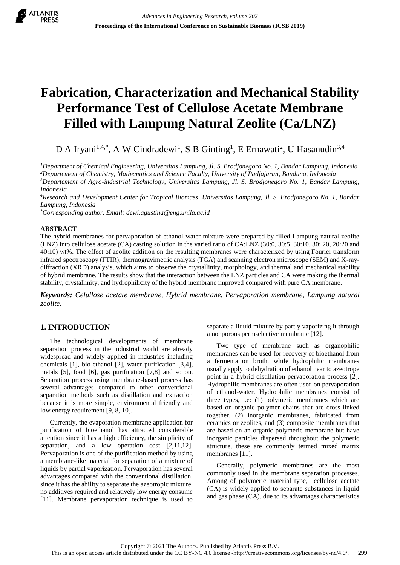

# **Fabrication, Characterization and Mechanical Stability Performance Test of Cellulose Acetate Membrane Filled with Lampung Natural Zeolite (Ca/LNZ)**

D A Iryani<sup>1,4,\*</sup>, A W Cindradewi<sup>1</sup>, S B Ginting<sup>1</sup>, E Ernawati<sup>2</sup>, U Hasanudin<sup>3,4</sup>

*Department of Chemical Engineering, Universitas Lampung, Jl. S. Brodjonegoro No. 1, Bandar Lampung, Indonesia Departement of Chemistry, Mathematics and Science Faculty, University of Padjajaran, Bandung, Indonesia Departement of Agro-industrial Technology, Universitas Lampung, Jl. S. Brodjonegoro No. 1, Bandar Lampung, Indonesia*

*<sup>4</sup>Research and Development Center for Tropical Biomass, Universitas Lampung, Jl. S. Brodjonegoro No. 1, Bandar Lampung, Indonesia*

*\*Corresponding author. Email: [dewi.agustina@eng.unila.ac.id](mailto:dewi.agustina@eng.unila.ac.id)*

#### **ABSTRACT**

The hybrid membranes for pervaporation of ethanol-water mixture were prepared by filled Lampung natural zeolite (LNZ) into cellulose acetate (CA) casting solution in the varied ratio of CA:LNZ (30:0, 30:5, 30:10, 30: 20, 20:20 and 40:10) wt%. The effect of zeolite addition on the resulting membranes were characterized by using Fourier transform infrared spectroscopy (FTIR), thermogravimetric analysis (TGA) and scanning electron microscope (SEM) and X-raydiffraction (XRD) analysis, which aims to observe the crystallinity, morphology, and thermal and mechanical stability of hybrid membrane. The results show that the interaction between the LNZ particles and CA were making the thermal stability, crystallinity, and hydrophilicity of the hybrid membrane improved compared with pure CA membrane.

*Keywords: Celullose acetate membrane, Hybrid membrane, Pervaporation membrane, Lampung natural zeolite*.

### **1. INTRODUCTION**

The technological developments of membrane separation process in the industrial world are already widespread and widely applied in industries including chemicals [1], bio-ethanol [2], water purification [3,4], metals [5], food [6], gas purification [7,8] and so on. Separation process using membrane-based process has several advantages compared to other conventional separation methods such as distillation and extraction because it is more simple, environmental friendly and low energy requirement [9, 8, 10].

Currently, the evaporation membrane application for purification of bioethanol has attracted considerable attention since it has a high efficiency, the simplicity of separation, and a low operation cost [2,11,12]. Pervaporation is one of the purification method by using a membrane-like material for separation of a mixture of liquids by partial vaporization. Pervaporation has several advantages compared with the conventional distillation, since it has the ability to separate the azeotropic mixture, no additives required and relatively low energy consume [11]. Membrane pervaporation technique is used to

separate a liquid mixture by partly vaporizing it through a nonporous permselective membrane [12].

Two type of membrane such as organophilic membranes can be used for recovery of bioethanol from a fermentation broth, while hydrophilic membranes usually apply to dehydration of ethanol near to azeotrope point in a hybrid distillation-pervaporation process [2]. Hydrophilic membranes are often used on pervaporation of ethanol-water. Hydrophilic membranes consist of three types, i.e: (1) polymeric membranes which are based on organic polymer chains that are cross-linked together, (2) inorganic membranes, fabricated from ceramics or zeolites, and (3) composite membranes that are based on an organic polymeric membrane but have inorganic particles dispersed throughout the polymeric structure, these are commonly termed mixed matrix membranes [11].

Generally, polymeric membranes are the most commonly used in the membrane separation processes. Among of polymeric material type, cellulose acetate (CA) is widely applied to separate substances in liquid and gas phase (CA), due to its advantages characteristics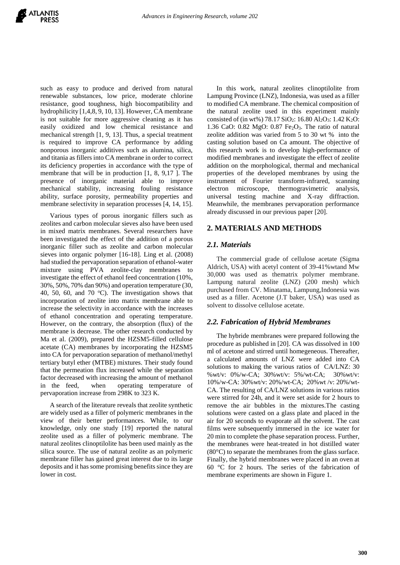such as easy to produce and derived from natural renewable substances, low price, moderate chlorine resistance, good toughness, high biocompatibility and hydrophilicity [1,4,8, 9, 10, 13]. However, CA membrane is not suitable for more aggressive cleaning as it has easily oxidized and low chemical resistance and mechanical strength [1, 9, 13]. Thus, a special treatment is required to improve CA performance by adding nonporous inorganic additives such as alumina, silica, and titania as fillers into CA membrane in order to correct its deficiency properties in accordance with the type of membrane that will be in production [1, 8, 9,17 ]. The presence of inorganic material able to improve mechanical stability, increasing fouling resistance ability, surface porosity, permeability properties and membrane selectivity in separation processes [4, 14, 15].

Various types of porous inorganic fillers such as zeolites and carbon molecular sieves also have been used in mixed matrix membranes. Several researchers have been investigated the effect of the addition of a porous inorganic filler such as zeolite and carbon molecular sieves into organic polymer [16-18]. Ling et al. (2008) had studied the pervaporation separation of ethanol-water mixture using PVA zeolite-clay membranes to investigate the effect of ethanol feed concentration (10%, 30%, 50%, 70% dan 90%) and operation temperature (30, 40, 50, 60, and 70  $^{\circ}$ C). The investigation shows that incorporation of zeolite into matrix membrane able to increase the selectivity in accordance with the increases of ethanol concentration and operating temperature. However, on the contrary, the absorption (flux) of the membrane is decrease. The other research conducted by Ma et al. (2009), prepared the HZSM5-filled cellulose acetate (CA) membranes by incorporating the HZSM5 into CA for pervaporation separation of methanol/methyl tertiary butyl ether (MTBE) mixtures. Their study found that the permeation flux increased while the separation factor decreased with increasing the amount of methanol in the feed, when operating temperature of pervaporation increase from 298K to 323 K.

A search of the literature reveals that zeolite synthetic are widely used as a filler of polymeric membranes in the view of their better performances. While, to our knowledge, only one study [19] reported the natural zeolite used as a filler of polymeric membrane. The natural zeolites clinoptilolite has been used mainly as the silica source. The use of natural zeolite as an polymeric membrane filler has gained great interest due to its large deposits and it has some promising benefits since they are lower in cost.

In this work, natural zeolites clinoptilolite from Lampung Province (LNZ), Indonesia, was used as a filler to modified CA membrane. The chemical composition of the natural zeolite used in this experiment mainly consisted of (in wt%) 78.17 SiO<sub>2</sub>: 16.80 Al<sub>2</sub>O<sub>3</sub>: 1.42 K<sub>2</sub>O: 1.36 CaO:  $0.82 \text{ MgO: } 0.87 \text{ Fe}_2\text{O}_3$ . The ratio of natural zeolite addition was varied from 5 to 30 wt % into the casting solution based on Ca amount. The objective of this research work is to develop high-performance of modified membranes and investigate the effect of zeolite addition on the morphological, thermal and mechanical properties of the developed membranes by using the instrument of Fourier transform-infrared, scanning electron microscope, thermogravimetric analysis, universal testing machine and X-ray diffraction. Meanwhile, the membranes pervaporation performance already discussed in our previous paper [20].

#### **2. MATERIALS AND METHODS**

#### *2.1. Materials*

The commercial grade of cellulose acetate (Sigma Aldrich, USA) with acetyl content of 39-41%wtand Mw 30,000 was used as thematrix polymer membrane. Lampung natural zeolite (LNZ) (200 mesh) which purchased from CV. Minatama, Lampung,Indonesia was used as a filler. Acetone (J.T baker, USA) was used as solvent to dissolve cellulose acetate.

#### *2.2. Fabrication of Hybrid Membranes*

The hybride membranes were prepared following the procedure as published in [20]. CA was dissolved in 100 ml of acetone and stirred until homegeneous. Thereafter, a calculated amounts of LNZ were added into CA solutions to making the various ratios of CA/LNZ: 30 %wt/v: 0%/w-CA; 30%wt/v: 5%/wt-CA; 30%wt/v: 10%/w-CA: 30%wt/v: 20%/wt-CA; 20%wt /v: 20%/wt-CA. The resulting of CA/LNZ solutions in various ratios were stirred for 24h, and it were set aside for 2 hours to remove the air bubbles in the mixtures.The casting solutions were casted on a glass plate and placed in the air for 20 seconds to evaporate all the solvent. The cast films were subsequently immersed in the ice water for 20 min to complete the phase separation process. Further, the membranes were heat-treated in hot distilled water (80°C) to separate the membranes from the glass surface. Finally, the hybrid membranes were placed in an oven at 60 °C for 2 hours. The series of the fabrication of membrane experiments are shown in Figure 1.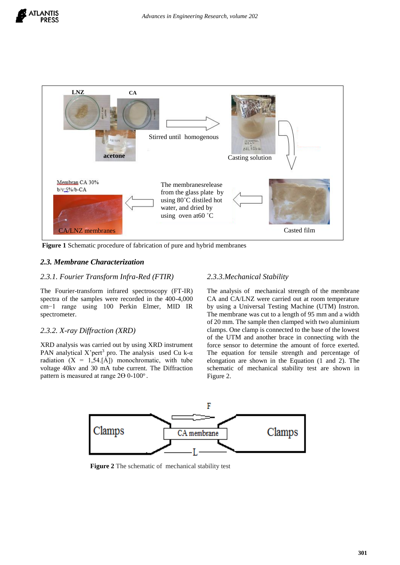



**Figure 1** Schematic procedure of fabrication of pure and hybrid membranes

# *2.3. Membrane Characterization*

# *2.3.1. Fourier Transform Infra-Red (FTIR)*

The Fourier-transform infrared spectroscopy (FT-IR) spectra of the samples were recorded in the 400-4,000 cm−1 range using 100 Perkin Elmer, MID IR spectrometer.

# *2.3.2. X-ray Diffraction (XRD)*

XRD analysis was carried out by using XRD instrument PAN analytical X'pert<sup>3</sup> pro. The analysis used Cu k- $\alpha$ radiation  $(X = 1,54.[A])$  monochromatic, with tube voltage 40kv and 30 mA tube current. The Diffraction pattern is measured at range  $2\Theta$  0-100 $^{\circ}$ .

### *2.3.3.Mechanical Stability*

The analysis of mechanical strength of the membrane CA and CA/LNZ were carried out at room temperature by using a Universal Testing Machine (UTM) Instron. The membrane was cut to a length of 95 mm and a width of 20 mm. The sample then clamped with two aluminium clamps. One clamp is connected to the base of the lowest of the UTM and another brace in connecting with the force sensor to determine the amount of force exerted. The equation for tensile strength and percentage of elongation are shown in the Equation (1 and 2). The schematic of mechanical stability test are shown in Figure 2.



 **Figure 2** The schematic of mechanical stability test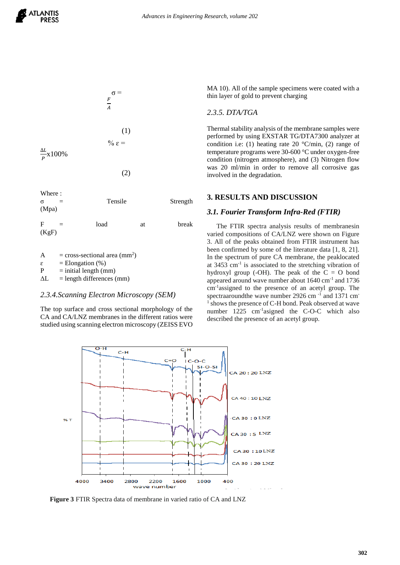



 $Whera$ 

| $\cdots$<br>$\sigma$<br>$=$<br>(Mpa) | Tensile |    | Strength |
|--------------------------------------|---------|----|----------|
| $\mathbf F$<br>$=$<br>(KgF)          | load    | at | break    |

| A | $=$ cross-sectional area (mm <sup>2</sup> ) |
|---|---------------------------------------------|
|   |                                             |

 $\varepsilon$  = Elongation (%)<br>P = initial length (m

 $=$  initial length (mm)

 $\Delta L$  = length differences (mm)

#### *2.3.4.Scanning Electron Microscopy (SEM)*

The top surface and cross sectional morphology of the CA and CA/LNZ membranes in the different ratios were studied using scanning electron microscopy (ZEISS EVO MA 10). All of the sample specimens were coated with a thin layer of gold to prevent charging

#### *2.3.5. DTA/TGA*

Thermal stability analysis of the membrane samples were performed by using EXSTAR TG/DTA7300 analyzer at condition i.e: (1) heating rate 20  $\degree$ C/min, (2) range of temperature programs were 30-600 °C under oxygen-free condition (nitrogen atmosphere), and (3) Nitrogen flow was 20 ml/min in order to remove all corrosive gas involved in the degradation.

#### **3. RESULTS AND DISCUSSION**

#### *3.1. Fourier Transform Infra-Red (FTIR)*

The FTIR spectra analysis results of membranesin varied compositions of CA/LNZ were shown on Figure 3. All of the peaks obtained from FTIR instrument has been confirmed by some of the literature data [1, 8, 21]. In the spectrum of pure CA membrane, the peaklocated at  $3453$  cm<sup>-1</sup> is associated to the stretching vibration of hydroxyl group (-OH). The peak of the  $C = O$  bond appeared around wave number about 1640 cm-1 and 1736 cm-1 assigned to the presence of an acetyl group. The spectraaroundthe wave number 2926 cm<sup>-1</sup> and 1371 cm <sup>1</sup> shows the presence of C-H bond. Peak observed at wave number 1225 cm<sup>-1</sup>asigned the C-O-C which also described the presence of an acetyl group.



**Figure 3** FTIR Spectra data of membrane in varied ratio of CA and LNZ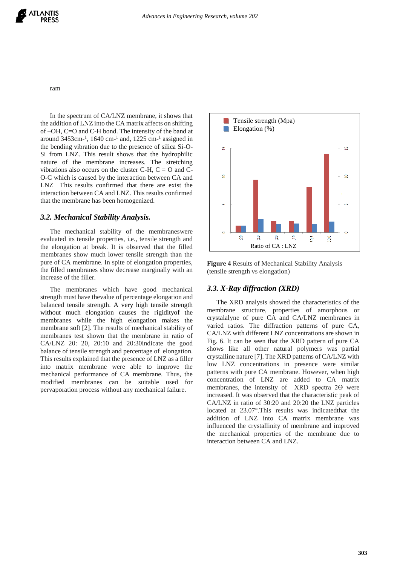#### ram

In the spectrum of CA/LNZ membrane, it shows that the addition of LNZ into the CA matrix affects on shifting of –OH, C=O and C-H bond. The intensity of the band at around 3453cm-1 , 1640 cm-1 and, 1225 cm-1 assigned in the bending vibration due to the presence of silica Si-O-Si from LNZ. This result shows that the hydrophilic nature of the membrane increases. The stretching vibrations also occurs on the cluster C-H,  $C = O$  and C-O-C which is caused by the interaction between CA and LNZ This results confirmed that there are exist the interaction between CA and LNZ. This results confirmed that the membrane has been homogenized.

#### *3.2. Mechanical Stability Analysis.*

The mechanical stability of the membraneswere evaluated its tensile properties, i.e., tensile strength and the elongation at break. It is observed that the filled membranes show much lower tensile strength than the pure of CA membrane. In spite of elongation properties, the filled membranes show decrease marginally with an increase of the filler.

The membranes which have good mechanical strength must have thevalue of percentage elongation and balanced tensile strength. A very high tensile strength without much elongation causes the rigidityof the membranes while the high elongation makes the membrane soft [2]. The results of mechanical stability of membranes test shown that the membrane in ratio of CA/LNZ 20: 20, 20:10 and 20:30indicate the good balance of tensile strength and percentage of elongation. This results explained that the presence of LNZ as a filler into matrix membrane were able to improve the mechanical performance of CA membrane. Thus, the modified membranes can be suitable used for pervaporation process without any mechanical failure.



**Figure 4** Results of Mechanical Stability Analysis (tensile strength vs elongation)

#### *3.3. X-Ray diffraction (XRD)*

The XRD analysis showed the characteristics of the membrane structure, properties of amorphous or crystalalyne of pure CA and CA/LNZ membranes in varied ratios. The diffraction patterns of pure CA, CA/LNZ with different LNZ concentrations are shown in Fig. 6. It can be seen that the XRD pattern of pure CA shows like all other natural polymers was partial crystalline nature [7]. The XRD patterns of CA/LNZ with low LNZ concentrations in presence were similar patterns with pure CA membrane. However, when high concentration of LNZ are added to CA matrix membranes, the intensity of  $XRD$  spectra  $2\Theta$  were increased. It was observed that the characteristic peak of CA/LNZ in ratio of 30:20 and 20:20 the LNZ particles located at 23.07°.This results was indicatedthat the addition of LNZ into CA matrix membrane was influenced the crystallinity of membrane and improved the mechanical properties of the membrane due to interaction between CA and LNZ.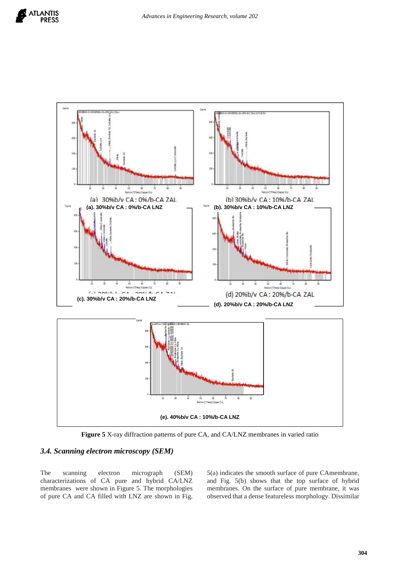



**Figure 5** X-ray diffraction patterns of pure CA, and CA/LNZ membranes in varied ratio

# *3.4. Scanning electron microscopy (SEM)*

The scanning electron micrograph (SEM) characterizations of CA pure and hybrid CA/LNZ membranes were shown in Figure 5. The morphologies of pure CA and CA filled with LNZ are shown in Fig.

5(a) indicates the smooth surface of pure CAmembrane, and Fig. 5(b) shows that the top surface of hybrid membranes. On the surface of pure membrane, it was observed that a dense featureless morphology. Dissimilar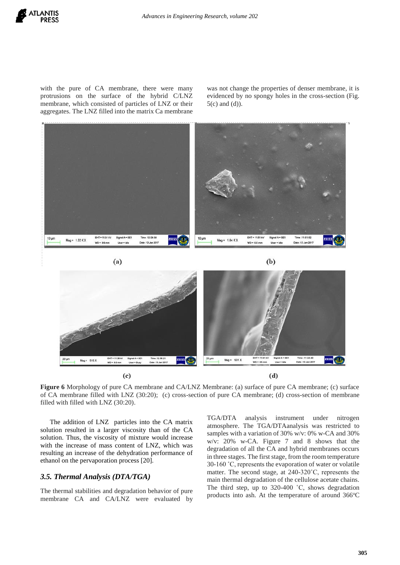with the pure of CA membrane, there were many protrusions on the surface of the hybrid C/LNZ membrane, which consisted of particles of LNZ or their aggregates. The LNZ filled into the matrix Ca membrane was not change the properties of denser membrane, it is evidenced by no spongy holes in the cross-section (Fig. 5(c) and (d)).



**Figure 6** Morphology of pure CA membrane and CA/LNZ Membrane: (a) surface of pure CA membrane; (c) surface of CA membrane filled with LNZ (30:20); (c) cross-section of pure CA membrane; (d) cross-section of membrane filled with filled with LNZ (30:20).

The addition of LNZ particles into the CA matrix solution resulted in a larger viscosity than of the CA solution. Thus, the viscosity of mixture would increase with the increase of mass content of LNZ, which was resulting an increase of the dehydration performance of ethanol on the pervaporation process [20].

#### *3.5. Thermal Analysis (DTA/TGA)*

The thermal stabilities and degradation behavior of pure membrane CA and CA/LNZ were evaluated by TGA/DTA analysis instrument under nitrogen atmosphere. The TGA/DTAanalysis was restricted to samples with a variation of 30% w/v: 0% w-CA and 30% w/v: 20% w-CA. Figure 7 and 8 shows that the degradation of all the CA and hybrid membranes occurs in three stages. The first stage, from the room temperature 30-160 ˚C, represents the evaporation of water or volatile matter. The second stage, at 240-320˚C, represents the main thermal degradation of the cellulose acetate chains. The third step, up to 320-400 °C, shows degradation products into ash. At the temperature of around  $366^{\circ}$ C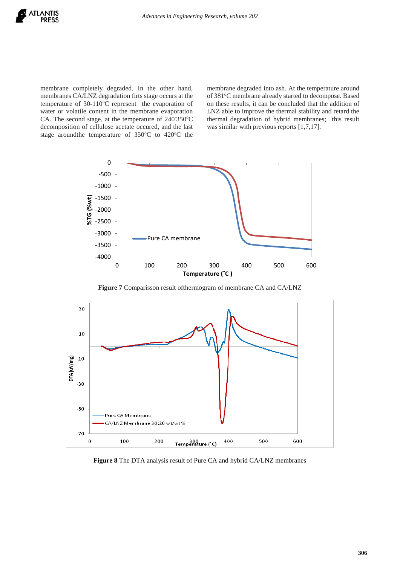membrane completely degraded. In the other hand, membranes CA/LNZ degradation firts stage occurs at the temperature of  $30-110^{\circ}$ C represent the evaporation of water or volatile content in the membrane evaporation CA. The second stage, at the temperature of  $240^{\circ}350^{\circ}$ C decomposition of cellulose acetate occured, and the last stage aroundthe temperature of  $350^{\circ}$ C to  $420^{\circ}$ C the membrane degraded into ash. At the temperature around of 381°C membrane already started to decompose. Based on these results, it can be concluded that the addition of LNZ able to improve the thermal stability and retard the thermal degradation of hybrid membranes; this result was similar with previous reports [1,7,17].



**Figure 7** Comparisson result ofthermogram of membrane CA and CA/LNZ



**Figure 8** The DTA analysis result of Pure CA and hybrid CA/LNZ membranes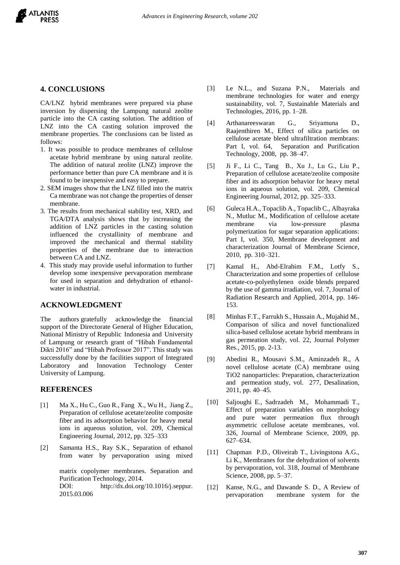

# **4. CONCLUSIONS**

CA/LNZ hybrid membranes were prepared via phase inversion by dispersing the Lampung natural zeolite particle into the CA casting solution. The addition of LNZ into the CA casting solution improved the membrane properties. The conclusions can be listed as follows:

- 1. It was possible to produce membranes of cellulose acetate hybrid membrane by using natural zeolite. The addition of natural zeolite (LNZ) improve the performance better than pure CA membrane and it is found to be inexpensive and easy to prepare.
- 2. SEM images show that the LNZ filled into the matrix Ca membrane was not change the properties of denser membrane.
- 3. The results from mechanical stability test, XRD, and TGA/DTA analysis shows that by increasing the addition of LNZ particles in the casting solution influenced the crystallinity of membrane and improved the mechanical and thermal stability properties of the membrane due to interaction between CA and LNZ.
- 4. This study may provide useful information to further develop some inexpensive pervaporation membrane for used in separation and dehydration of ethanolwater in industrial.

#### **ACKNOWLEDGMENT**

The authors gratefully acknowledge the financial support of the Directorate General of Higher Education, National Ministry of Republic Indonesia and University of Lampung or research grant of "Hibah Fundamental Dikti 2016" and "Hibah Professor 2017". This study was successfully done by the facilities support of Integrated Laboratory and Innovation Technology Center University of Lampung.

#### **REFERENCES**

- [1] Ma X., Hu C., Guo R., Fang X., Wu H., Jiang Z., Preparation of cellulose acetate/zeolite composite fiber and its adsorption behavior for heavy metal ions in aqueous solution, vol. 209, Chemical Engineering Journal, 2012, pp. 325–333
- [2] Samanta H.S., Ray S.K., Separation of ethanol from water by pervaporation using mixed

matrix copolymer membranes. Separation and Purification Technology, 2014.

DOI: http://dx.doi.org/10.1016/j.seppur. 2015.03.006

- [3] Le N.L., and Suzana P.N., Materials and membrane technologies for water and energy sustainability, vol. 7, Sustainable Materials and Technologies, 2016, pp. 1–28.
- [4] Arthanareeswaran G., Sriyamuna D., Raajenthiren M., Effect of silica particles on cellulose acetate blend ultrafiltration membrans: Part I, vol. 64, Separation and Purification Technology, 2008, pp. 38–47.
- [5] Ji F., Li C., Tang B., Xu J., Lu G., Liu P., Preparation of cellulose acetate/zeolite composite fiber and its adsorption behavior for heavy metal ions in aqueous solution, vol. 209, Chemical Engineering Journal, 2012, pp. 325–333.
- [6] Guleca H.A., Topaclib A., Topaclib C., Albayraka N., Mutluc M., Modification of cellulose acetate membrane via low-pressure plasma polymerization for sugar separation applications: Part I, vol. 350, Membrane development and characterization Journal of Membrane Science, 2010, pp. 310–321.
- [7] Kamal H., Abd-Elrahim F.M., Lotfy S., Characterization and some properties of cellulose acetate-co-polyethylenen oxide blends prepared by the use of gamma irradiation, vol. 7, Journal of Radiation Research and Applied, 2014, pp. 146- 153.
- [8] Minhas F.T., Farrukh S., Hussain A., Mujahid M., Comparison of silica and novel functionalized silica-based cellulose acetate hybrid membrans in gas permeation study, vol. 22, Journal Polymer Res., 2015, pp. 2-13.
- [9] Abedini R., Mousavi S.M., Aminzadeh R., A novel cellulose acetate (CA) membrane using TiO2 nanoparticles: Preparation, characterization and permeation study, vol. 277, Desalination, 2011, pp. 40–45.
- [10] Saljoughi E., Sadrzadeh M., Mohammadi T., Effect of preparation variables on morphology and pure water permeation flux through asymmetric cellulose acetate membranes, vol. 326, Journal of Membrane Science, 2009, pp. 627–634.
- [11] Chapman P.D., Oliveirab T., Livingstona A.G., Li K., Membranes for the dehydration of solvents by pervaporation, vol. 318, Journal of Membrane Science, 2008, pp. 5–37.
- [12] Kanse, N.G., and Dawande S. D., A Review of pervaporation membrane system for the